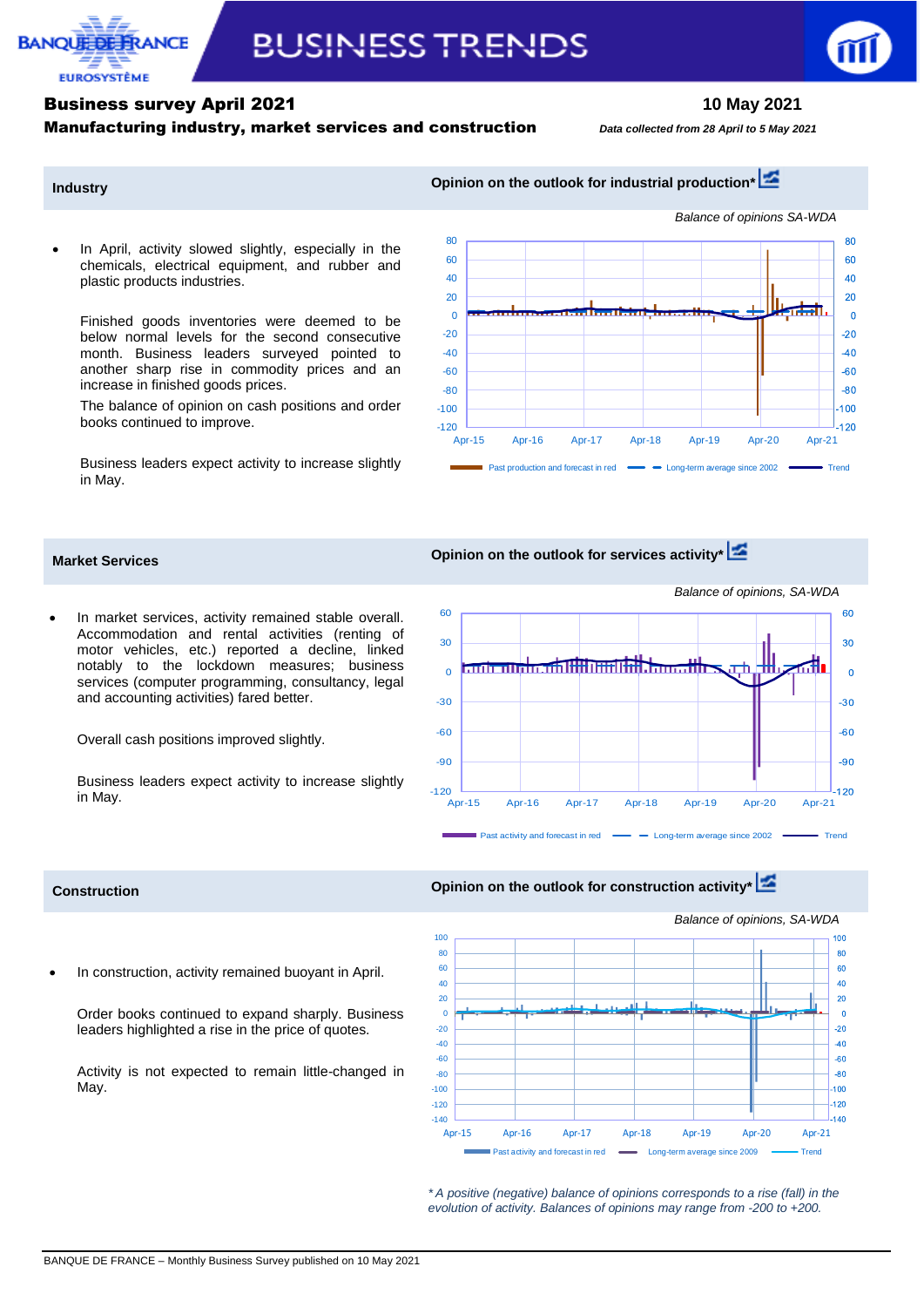

# **BUSINESS TRENDS**

# Business survey April 2021 **10 May 2021**

### Manufacturing industry, market services and construction*Data collected from 28 April to <sup>5</sup> May <sup>2021</sup>*

**Industry Industry Opinion on the outlook for industrial production\*** 

 In April, activity slowed slightly, especially in the chemicals, electrical equipment, and rubber and plastic products industries.

Finished goods inventories were deemed to be below normal levels for the second consecutive month. Business leaders surveyed pointed to another sharp rise in commodity prices and an increase in finished goods prices.

The balance of opinion on cash positions and order books continued to improve.

Business leaders expect activity to increase slightly in May.

 In market services, activity remained stable overall. Accommodation and rental activities (renting of motor vehicles, etc.) reported a decline, linked notably to the lockdown measures; business services (computer programming, consultancy, legal

Business leaders expect activity to increase slightly

and accounting activities) fared better.

Overall cash positions improved slightly.



# **Market Services Opinion on the outlook for services activity\***



## **Construction Construction Opinion on the outlook for construction activity Construction**

in May.



*Balance of opinions, SA-WDA*

In construction, activity remained buoyant in April.

Order books continued to expand sharply. Business leaders highlighted a rise in the price of quotes.

Activity is not expected to remain little-changed in May.

> *\* A positive (negative) balance of opinions corresponds to a rise (fall) in the evolution of activity. Balances of opinions may range from -200 to +200.*

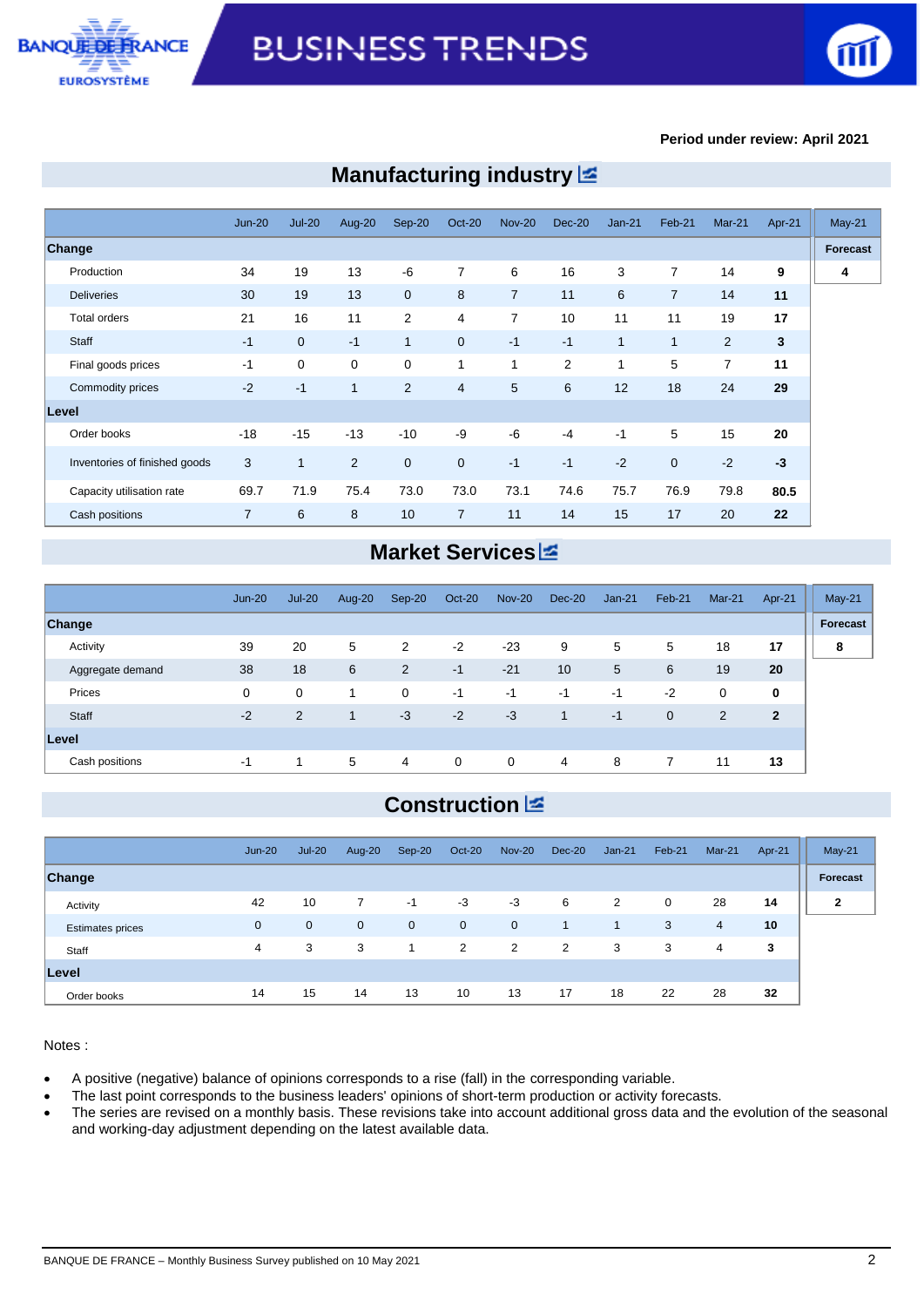



#### **Period under review: April 2021**

|                               | <b>Jun-20</b>  | $Jul-20$       | Aug-20               | Sep-20         | Oct-20         | <b>Nov-20</b>  | $Dec-20$ | $Jan-21$ | Feb-21         | Mar-21         | Apr-21                  | $May-21$ |
|-------------------------------|----------------|----------------|----------------------|----------------|----------------|----------------|----------|----------|----------------|----------------|-------------------------|----------|
| Change                        |                |                |                      |                |                |                |          |          |                |                |                         | Forecast |
| Production                    | 34             | 19             | 13                   | -6             | $\overline{7}$ | 6              | 16       | 3        | 7              | 14             | 9                       | 4        |
| <b>Deliveries</b>             | 30             | 19             | 13                   | $\mathbf 0$    | 8              | $\overline{7}$ | 11       | 6        | $\overline{7}$ | 14             | 11                      |          |
| <b>Total orders</b>           | 21             | 16             | 11                   | $\overline{2}$ | 4              | 7              | 10       | 11       | 11             | 19             | 17                      |          |
| Staff                         | $-1$           | $\overline{0}$ | $-1$                 | $\mathbf{1}$   | $\mathbf{0}$   | $-1$           | $-1$     | 1        | $\mathbf{1}$   | $\overline{2}$ | $\overline{\mathbf{3}}$ |          |
| Final goods prices            | $-1$           | $\mathbf 0$    | $\mathbf 0$          | 0              | 1              | 1              | 2        | 1        | 5              | 7              | 11                      |          |
| Commodity prices              | $-2$           | $-1$           | $\blacktriangleleft$ | $\overline{2}$ | $\overline{4}$ | 5              | 6        | 12       | 18             | 24             | 29                      |          |
| Level                         |                |                |                      |                |                |                |          |          |                |                |                         |          |
| Order books                   | $-18$          | $-15$          | $-13$                | $-10$          | -9             | -6             | $-4$     | $-1$     | 5              | 15             | 20                      |          |
| Inventories of finished goods | 3              | $\mathbf{1}$   | 2                    | $\overline{0}$ | $\mathbf{0}$   | $-1$           | $-1$     | $-2$     | $\overline{0}$ | $-2$           | $-3$                    |          |
| Capacity utilisation rate     | 69.7           | 71.9           | 75.4                 | 73.0           | 73.0           | 73.1           | 74.6     | 75.7     | 76.9           | 79.8           | 80.5                    |          |
| Cash positions                | $\overline{7}$ | 6              | 8                    | 10             | $\overline{7}$ | 11             | 14       | 15       | 17             | 20             | 22                      |          |

# **Manufacturing industry**

# **Market Services**

|                  | $Jun-20$ | $Jul-20$    | Aug-20 | Sep-20         | Oct-20      | <b>Nov-20</b> | Dec-20 | $Jan-21$ | Feb-21      | Mar-21 | Apr-21         | $May-21$ |
|------------------|----------|-------------|--------|----------------|-------------|---------------|--------|----------|-------------|--------|----------------|----------|
| <b>Change</b>    |          |             |        |                |             |               |        |          |             |        |                | Forecast |
| Activity         | 39       | 20          | 5      | 2              | $-2$        | $-23$         | 9      | 5        | 5           | 18     | 17             | 8        |
| Aggregate demand | 38       | 18          | 6      | $\overline{2}$ | $-1$        | $-21$         | 10     | 5        | 6           | 19     | 20             |          |
| Prices           | 0        | $\mathbf 0$ |        | 0              | $-1$        | $-1$          | $-1$   | $-1$     | $-2$        | 0      | $\mathbf 0$    |          |
| Staff            | $-2$     | 2           | 1      | $-3$           | $-2$        | $-3$          | 1      | $-1$     | $\mathbf 0$ | 2      | $\overline{2}$ |          |
| Level            |          |             |        |                |             |               |        |          |             |        |                |          |
| Cash positions   | -1       | 1           | 5      | 4              | $\mathbf 0$ | $\mathbf 0$   | 4      | 8        | 7           | 11     | 13             |          |

# **Construction**

|                         | $Jun-20$    | $Jul-20$       | Aug-20      | $Sep-20$    | Oct-20      | <b>Nov-20</b> | Dec-20 | $Jan-21$       | Feb-21 | $Mar-21$       | Apr-21 | $May-21$     |
|-------------------------|-------------|----------------|-------------|-------------|-------------|---------------|--------|----------------|--------|----------------|--------|--------------|
| Change                  |             |                |             |             |             |               |        |                |        |                |        | Forecast     |
| Activity                | 42          | 10             |             | $-1$        | $-3$        | $-3$          | 6      | 2              | 0      | 28             | 14     | $\mathbf{2}$ |
| <b>Estimates prices</b> | $\mathbf 0$ | $\overline{0}$ | $\mathbf 0$ | $\mathbf 0$ | $\mathbf 0$ | $\mathbf 0$   | $-1$   | $\overline{1}$ | 3      | $\overline{4}$ | 10     |              |
| Staff                   | 4           | 3              | 3           | $\mathbf 1$ | 2           | 2             | 2      | 3              | 3      | 4              | 3      |              |
| Level                   |             |                |             |             |             |               |        |                |        |                |        |              |
| Order books             | 14          | 15             | 14          | 13          | 10          | 13            | 17     | 18             | 22     | 28             | 32     |              |

Notes :

A positive (negative) balance of opinions corresponds to a rise (fall) in the corresponding variable.

The last point corresponds to the business leaders' opinions of short-term production or activity forecasts.

 The series are revised on a monthly basis. These revisions take into account additional gross data and the evolution of the seasonal and working-day adjustment depending on the latest available data.